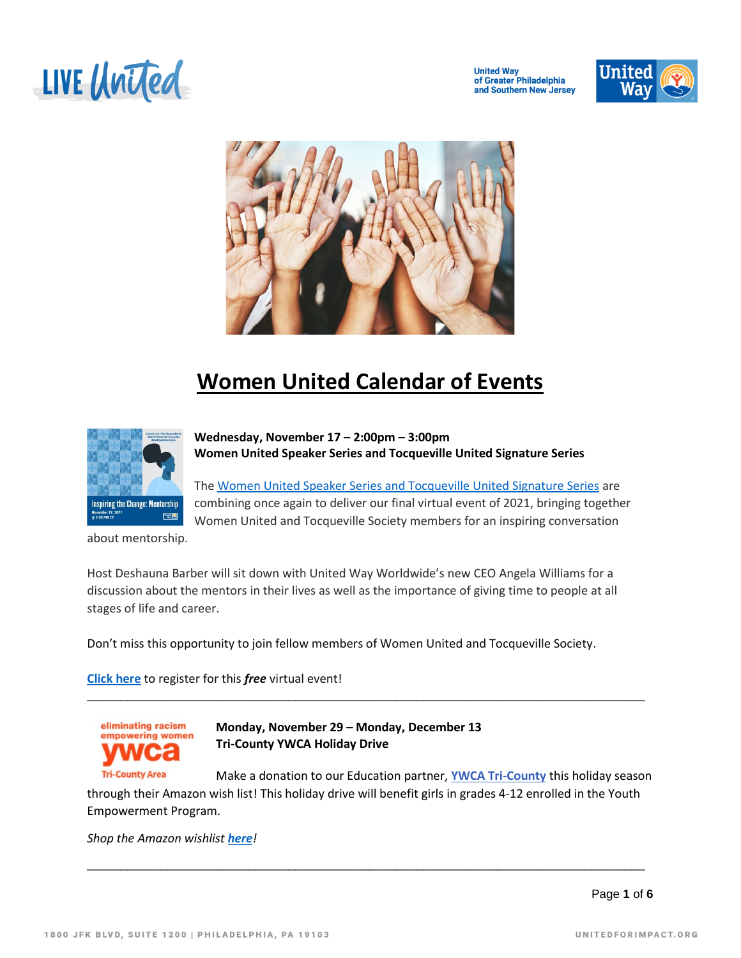

**United Way<br>of Greater Philadelphia** and Southern New Jersey





## **Women United Calendar of Events**



**Wednesday, November 17 – 2:00pm – 3:00pm Women United Speaker Series and Tocqueville United Signature Series**

Th[e Women United Speaker Series and Tocqueville United Signature Series](https://events.unitedway.org/website/22231/nov17/) are combining once again to deliver our final virtual event of 2021, bringing together Women United and Tocqueville Society members for an inspiring conversation

about mentorship.

Host Deshauna Barber will sit down with United Way Worldwide's new CEO Angela Williams for a discussion about the mentors in their lives as well as the importance of giving time to people at all stages of life and career.

Don't miss this opportunity to join fellow members of Women United and Tocqueville Society.

**[Click here](https://na.eventscloud.com/emarketing/go.php?id=O3Wz73cBRZoOTca1nYF8JtPZ%2BLUOKCjeLkcmx0HRN28tg9zhmrOMZjm3NTbdbBzjEt%2BncEn3H08mzlKjAwaT%2BGko40e7LUXYmF3JWXKY9Nems6WMfnLGTHOWDfsxGbbvoPUwW0UG1IlFg%2Fv%2FmJT%2BageFPn1o4onhOTPTwOqbkGLglLCfmcpnrocG7WLqX%2BjKxvzJxvC%2Ba2qErBtDlMKNcS4%2FkWXSz2gYcuqHPJ0RqmyiJPgDVAFLT0zBVCfbOQIh)** to register for this *free* virtual event!



**Monday, November 29 – Monday, December 13 Tri-County YWCA Holiday Drive**

**Tri-County Area** Make a donation to our Education partner, **[YWCA Tri-County](http://r20.rs6.net/tn.jsp?f=001zIJRSpzLUOLoIoPCI8tHke7xBAI7HYwRfdaWG_SXed7U7e4a5BaGpjgBjRzGJWV9KiRkBglNvfchfvaSQpX_0zgMhRb0DyLIoujXqRLOfSZR5X2Wn8K8z7MZVaKM4ZLGBdGyRquFPi3FOwAfRBXq3xtUYycJbZ5K&c=nL0BpT-y6C-_R-aaJ1DIlrgSs1JAXFErHi2w2jw-A1DJtIOyg83KRw==&ch=s49yD3dsP_nJLXUkboMc11ujSGyEyyiAP5cLFLQVHXHteBjInrnaAQ==)** this holiday season through their Amazon wish list! This holiday drive will benefit girls in grades 4-12 enrolled in the Youth Empowerment Program.

\_\_\_\_\_\_\_\_\_\_\_\_\_\_\_\_\_\_\_\_\_\_\_\_\_\_\_\_\_\_\_\_\_\_\_\_\_\_\_\_\_\_\_\_\_\_\_\_\_\_\_\_\_\_\_\_\_\_\_\_\_\_\_\_\_\_\_\_\_\_\_\_\_\_\_\_\_\_\_\_\_\_\_

\_\_\_\_\_\_\_\_\_\_\_\_\_\_\_\_\_\_\_\_\_\_\_\_\_\_\_\_\_\_\_\_\_\_\_\_\_\_\_\_\_\_\_\_\_\_\_\_\_\_\_\_\_\_\_\_\_\_\_\_\_\_\_\_\_\_\_\_\_\_\_\_\_\_\_\_\_\_\_\_\_\_\_

*Shop the Amazon wishlist [here](https://www.amazon.com/hz/wishlist/ls/1TE6YW28ID0OT?ref_=wl_share)!*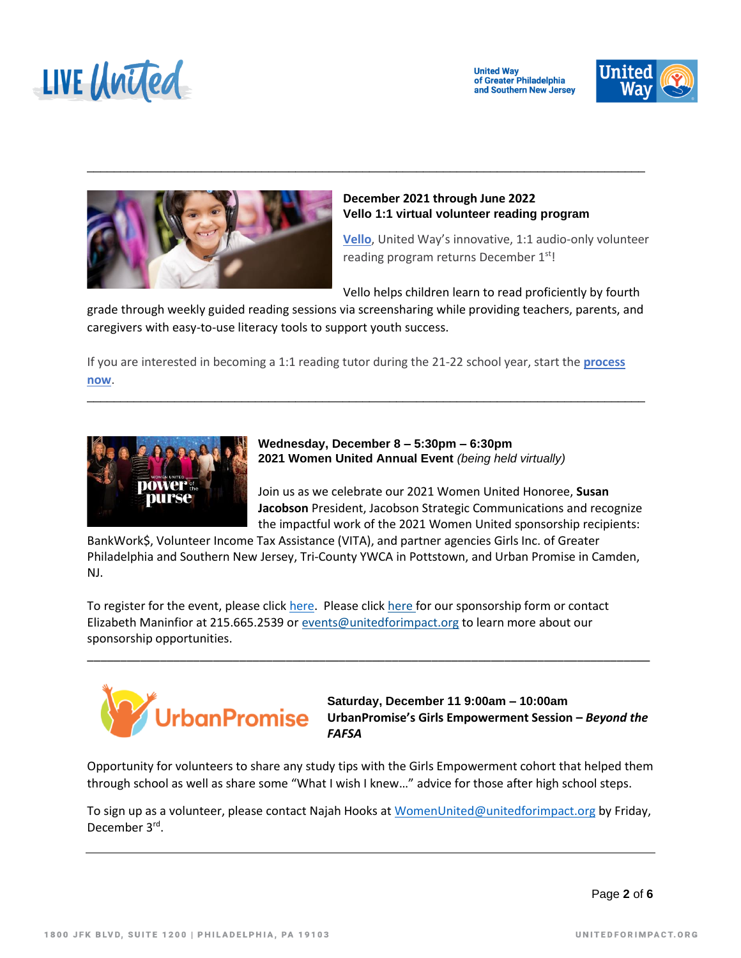

**United Way** of Greater Philadelphia and Southern New Jersey





## **December 2021 through June 2022 Vello 1:1 virtual volunteer reading program**

**[Vello](https://www.unitedforimpact.org/our-cause/our-focus/early-learning/vello/)**, United Way's innovative, 1:1 audio-only volunteer reading program returns December 1<sup>st</sup>!

Vello helps children learn to read proficiently by fourth

grade through weekly guided reading sessions via screensharing while providing teachers, parents, and caregivers with easy-to-use literacy tools to support youth success.

\_\_\_\_\_\_\_\_\_\_\_\_\_\_\_\_\_\_\_\_\_\_\_\_\_\_\_\_\_\_\_\_\_\_\_\_\_\_\_\_\_\_\_\_\_\_\_\_\_\_\_\_\_\_\_\_\_\_\_\_\_\_\_\_\_\_\_\_\_\_\_\_\_\_\_\_\_\_\_\_\_\_\_

If you are interested in becoming a 1:1 reading tutor during the 21-22 school year, start the **[process](mailto:WomenUnited@unitedforimpact.org)  [now](mailto:WomenUnited@unitedforimpact.org)**.

\_\_\_\_\_\_\_\_\_\_\_\_\_\_\_\_\_\_\_\_\_\_\_\_\_\_\_\_\_\_\_\_\_\_\_\_\_\_\_\_\_\_\_\_\_\_\_\_\_\_\_\_\_\_\_\_\_\_\_\_\_\_\_\_\_\_\_\_\_\_\_\_\_\_\_\_\_\_\_\_\_\_\_



**Wednesday, December 8 – 5:30pm – 6:30pm 2021 Women United Annual Event** *(being held virtually)* 

Join us as we celebrate our 2021 Women United Honoree, **Susan Jacobson** President, Jacobson Strategic Communications and recognize the impactful work of the 2021 Women United sponsorship recipients:

BankWork\$, Volunteer Income Tax Assistance (VITA), and partner agencies Girls Inc. of Greater Philadelphia and Southern New Jersey, Tri-County YWCA in Pottstown, and Urban Promise in Camden, NJ.

\_\_\_\_\_\_\_\_\_\_\_\_\_\_\_\_\_\_\_\_\_\_\_\_\_\_\_\_\_\_\_\_\_\_\_\_\_\_\_\_\_\_\_\_\_\_\_\_\_\_\_\_\_\_\_\_\_\_\_\_\_\_\_\_\_\_\_\_\_\_\_\_\_\_\_\_\_\_\_\_\_\_\_\_\_

To register for the event, please click [here.](https://epledge.unitedforimpact.org/epledge/comm/SinglePageRegEvent.jsp?EventKeyHex=39333234) Please click [here](https://unitedforimpact.org/resource/power-of-the-purse-sponsorship-form/) for our sponsorship form or contact Elizabeth Maninfior at 215.665.2539 or [events@unitedforimpact.org](javascript:;) to learn more about our sponsorship opportunities.



**Saturday, December 11 9:00am – 10:00am UrbanPromise's Girls Empowerment Session –** *Beyond the FAFSA*

Opportunity for volunteers to share any study tips with the Girls Empowerment cohort that helped them through school as well as share some "What I wish I knew…" advice for those after high school steps.

To sign up as a volunteer, please contact Najah Hooks at [WomenUnited@unitedforimpact.org](mailto:WomenUnited@unitedforimpact.org) by Friday, December 3rd.

Page **2** of **6**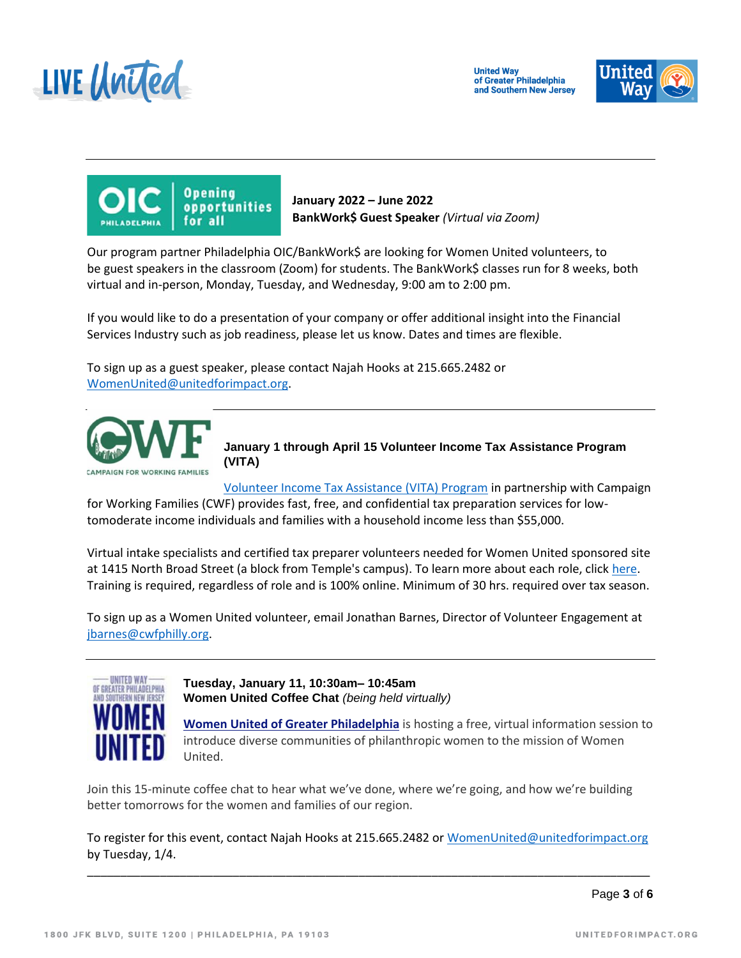





**January 2022 – June 2022 BankWork\$ Guest Speaker** *(Virtual via Zoom)*

Our program partner Philadelphia OIC/BankWork\$ are looking for Women United volunteers, to be guest speakers in the classroom (Zoom) for students. The BankWork\$ classes run for 8 weeks, both virtual and in-person, Monday, Tuesday, and Wednesday, 9:00 am to 2:00 pm.

If you would like to do a presentation of your company or offer additional insight into the Financial Services Industry such as job readiness, please let us know. Dates and times are flexible.

To sign up as a guest speaker, please contact Najah Hooks at 215.665.2482 or [WomenUnited@unitedforimpact.org.](mailto:WomenUnited@unitedforimpact.org)



**January 1 through April 15 Volunteer Income Tax Assistance Program (VITA)**

[Volunteer Income Tax Assistance \(VITA\) Program](https://www.unitedforimpact.org/our-cause/signature-programs/vita/) in partnership with Campaign for Working Families (CWF) provides fast, free, and confidential tax preparation services for lowtomoderate income individuals and families with a household income less than \$55,000.

Virtual intake specialists and certified tax preparer volunteers needed for Women United sponsored site at 1415 North Broad Street (a block from Temple's campus). To learn more about each role, clic[k here.](https://drive.google.com/file/d/13JO-XD61FMKen3kgHYVYT0p1sfY9QD0-/view) Training is required, regardless of role and is 100% online. Minimum of 30 hrs. required over tax season.

To sign up as a Women United volunteer, email Jonathan Barnes, Director of Volunteer Engagement at [jbarnes@cwfphilly.org.](mailto:jbarnes@cwfphilly.org)



**Tuesday, January 11, 10:30am– 10:45am Women United Coffee Chat** *(being held virtually)* 

**Women United of Greater [Philadelphia](https://www.unitedforimpact.org/get-involved/network/womenunited/)** is hosting a free, virtual information session to introduce diverse communities of philanthropic women to the mission of Women United.

Join this 15-minute coffee chat to hear what we've done, where we're going, and how we're building better tomorrows for the women and families of our region.

To register for this event, contact Najah Hooks at 215.665.2482 or [WomenUnited@unitedforimpact.org](mailto:WomenUnited@unitedforimpact.org) by Tuesday, 1/4.

\_\_\_\_\_\_\_\_\_\_\_\_\_\_\_\_\_\_\_\_\_\_\_\_\_\_\_\_\_\_\_\_\_\_\_\_\_\_\_\_\_\_\_\_\_\_\_\_\_\_\_\_\_\_\_\_\_\_\_\_\_\_\_\_\_\_\_\_\_\_\_\_\_\_\_\_\_\_\_\_\_\_\_\_\_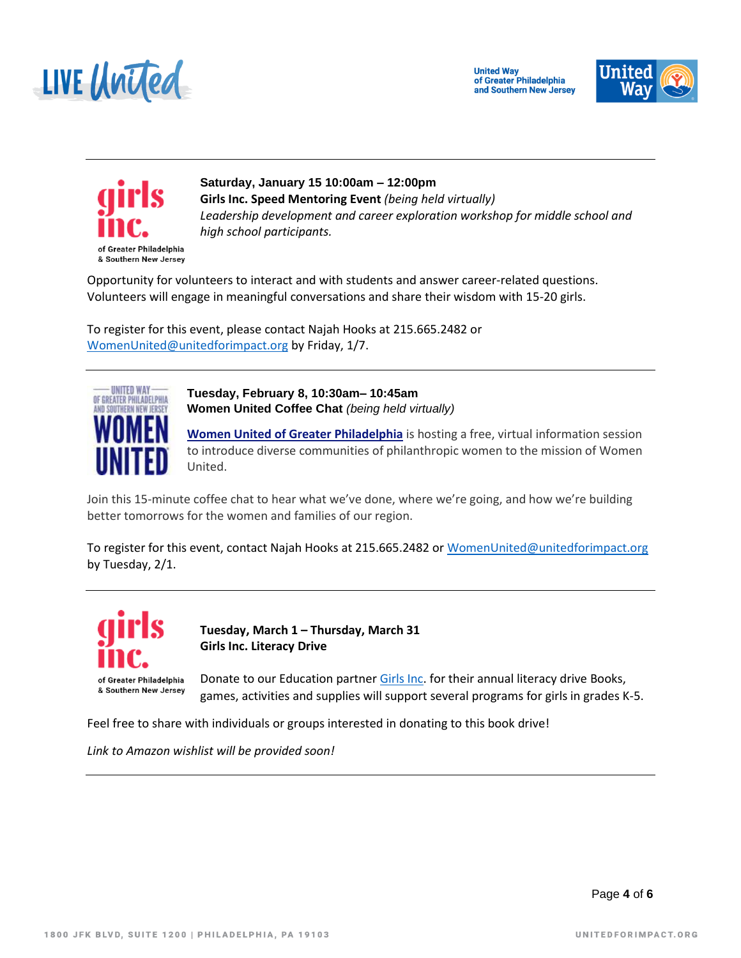





**Saturday, January 15 10:00am – 12:00pm Girls Inc. Speed Mentoring Event** *(being held virtually) Leadership development and career exploration workshop for middle school and high school participants.*

Opportunity for volunteers to interact and with students and answer career-related questions. Volunteers will engage in meaningful conversations and share their wisdom with 15-20 girls.

To register for this event, please contact Najah Hooks at 215.665.2482 or [WomenUnited@unitedforimpact.org](mailto:WomenUnited@unitedforimpact.org) by Friday, 1/7.



**Tuesday, February 8, 10:30am– 10:45am Women United Coffee Chat** *(being held virtually)* 

**Women United of Greater [Philadelphia](https://www.unitedforimpact.org/get-involved/network/womenunited/)** is hosting a free, virtual information session to introduce diverse communities of philanthropic women to the mission of Women United.

Join this 15-minute coffee chat to hear what we've done, where we're going, and how we're building better tomorrows for the women and families of our region.

To register for this event, contact Najah Hooks at 215.665.2482 or [WomenUnited@unitedforimpact.org](mailto:WomenUnited@unitedforimpact.org) by Tuesday, 2/1.



**Tuesday, March 1 – Thursday, March 31 Girls Inc. Literacy Drive**

Donate to our Education partner [Girls Inc.](https://girlsincpa-nj.org/) for their annual literacy drive Books, games, activities and supplies will support several programs for girls in grades K-5.

Feel free to share with individuals or groups interested in donating to this book drive!

*Link to Amazon wishlist will be provided soon!*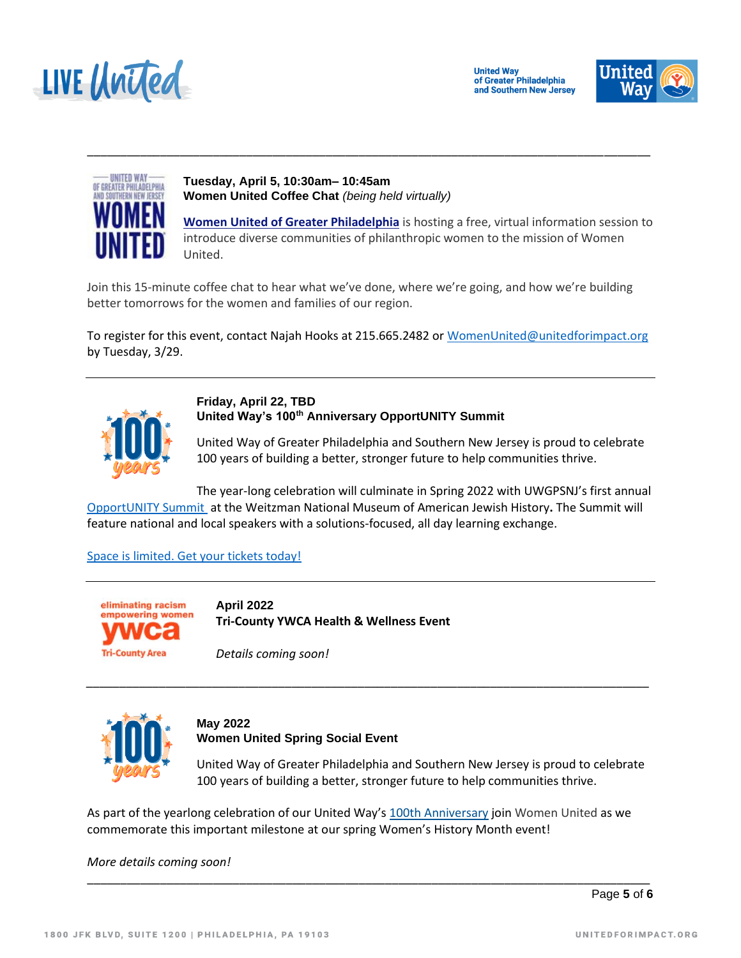





**Tuesday, April 5, 10:30am– 10:45am Women United Coffee Chat** *(being held virtually)* 

**Women United of Greater [Philadelphia](https://www.unitedforimpact.org/get-involved/network/womenunited/)** is hosting a free, virtual information session to introduce diverse communities of philanthropic women to the mission of Women United.

Join this 15-minute coffee chat to hear what we've done, where we're going, and how we're building better tomorrows for the women and families of our region.

\_\_\_\_\_\_\_\_\_\_\_\_\_\_\_\_\_\_\_\_\_\_\_\_\_\_\_\_\_\_\_\_\_\_\_\_\_\_\_\_\_\_\_\_\_\_\_\_\_\_\_\_\_\_\_\_\_\_\_\_\_\_\_\_\_\_\_\_\_\_\_\_\_\_\_\_\_\_\_\_\_\_\_\_\_

To register for this event, contact Najah Hooks at 215.665.2482 or [WomenUnited@unitedforimpact.org](mailto:WomenUnited@unitedforimpact.org) by Tuesday, 3/29.



**Friday, April 22, TBD United Way's 100th Anniversary OpportUNITY Summit**

United Way of Greater Philadelphia and Southern New Jersey is proud to celebrate 100 years of building a better, stronger future to help communities thrive.

The year-long celebration will culminate in Spring 2022 with UWGPSNJ's first annual [OpportUNITY Summit](https://unitedforimpact.org/events/event/opportunity-summit/) at the Weitzman National Museum of American Jewish History**.** The Summit will feature national and local speakers with a solutions-focused, all day learning exchange.

*\_\_\_\_\_\_\_\_\_\_\_\_\_\_\_\_\_\_\_\_\_\_\_\_\_\_\_\_\_\_\_\_\_\_\_\_\_\_\_\_\_\_\_\_\_\_\_\_\_\_\_\_\_\_\_\_\_\_\_\_\_\_\_\_\_\_\_\_\_\_\_\_\_\_\_\_\_\_\_\_\_\_\_\_\_*

[Space is limited. Get your tickets today!](https://unitedforimpact.org/events/event/opportunity-summit/)



**April 2022 Tri-County YWCA Health & Wellness Event**

*Details coming soon!*



**May 2022 Women United Spring Social Event**

United Way of Greater Philadelphia and Southern New Jersey is proud to celebrate 100 years of building a better, stronger future to help communities thrive.

As part of the yearlong celebration of our United Way's [100th Anniversary](https://unitedforimpact.org/about/100th-anniversary/) join Women United as we commemorate this important milestone at our spring Women's History Month event!

\_\_\_\_\_\_\_\_\_\_\_\_\_\_\_\_\_\_\_\_\_\_\_\_\_\_\_\_\_\_\_\_\_\_\_\_\_\_\_\_\_\_\_\_\_\_\_\_\_\_\_\_\_\_\_\_\_\_\_\_\_\_\_\_\_\_\_\_\_\_\_\_\_\_\_\_\_\_\_\_\_\_\_\_\_

*More details coming soon!*